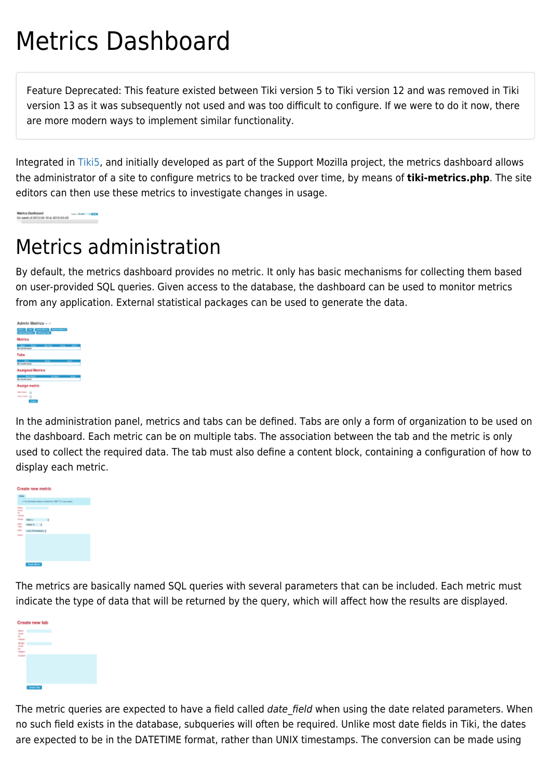# Metrics Dashboard

Feature Deprecated: This feature existed between Tiki version 5 to Tiki version 12 and was removed in Tiki version 13 as it was subsequently not used and was too difficult to configure. If we were to do it now, there are more modern ways to implement similar functionality.

Integrated in [Tiki5,](https://doc.tiki.org/Tiki5) and initially developed as part of the Support Mozilla project, the metrics dashboard allows the administrator of a site to configure metrics to be tracked over time, by means of **tiki-metrics.php**. The site editors can then use these metrics to investigate changes in usage.

Matrice Dealtbeard<br>for week of 2012-03-19 to 2013-63-25

# Metrics administration

By default, the metrics dashboard provides no metric. It only has basic mechanisms for collecting them based on user-provided SQL queries. Given access to the database, the dashboard can be used to monitor metrics from any application. External statistical packages can be used to generate the data.

| Admin Metrics + /         |
|---------------------------|
| <u>and we can also an</u> |
| <b>Metrics</b>            |
| $\frac{1}{2}$             |
| Tabs                      |
| <b>County Street</b>      |
|                           |
| <b>Assigned Metrics</b>   |
| <b>Romando</b>            |
| Assign metric             |
| <b>Parts Series 19</b>    |
| <b>Salta Salta 16</b>     |
| ÷                         |

In the administration panel, metrics and tabs can be defined. Tabs are only a form of organization to be used on the dashboard. Each metric can be on multiple tabs. The association between the tab and the metric is only used to collect the required data. The tab must also define a content block, containing a configuration of how to display each metric.



The metrics are basically named SQL queries with several parameters that can be included. Each metric must indicate the type of data that will be returned by the query, which will affect how the results are displayed.



The metric queries are expected to have a field called date\_field when using the date related parameters. When no such field exists in the database, subqueries will often be required. Unlike most date fields in Tiki, the dates are expected to be in the DATETIME format, rather than UNIX timestamps. The conversion can be made using